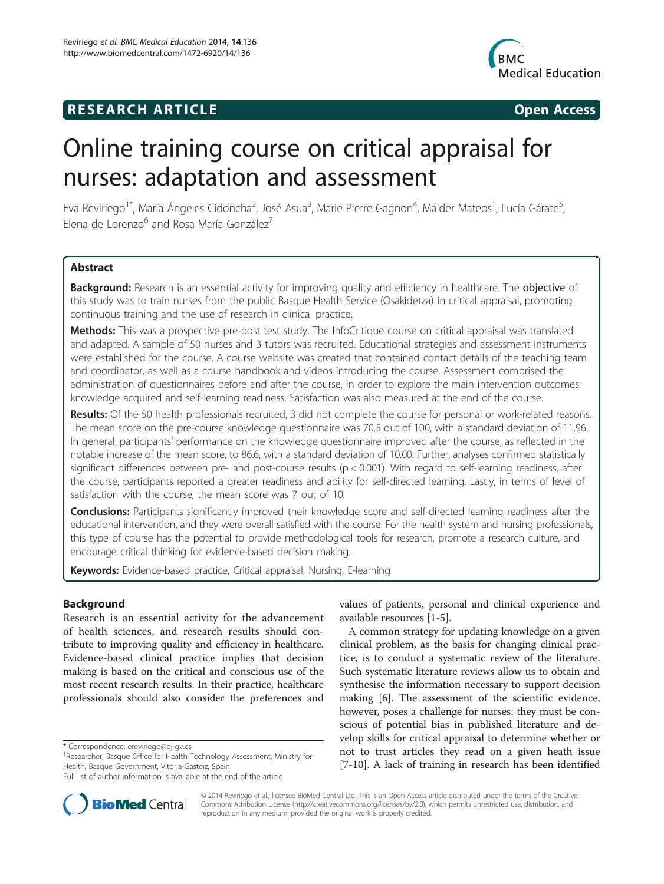# **RESEARCH ARTICLE Example 2014 CONSIDERING CONSIDERING CONSIDERING CONSIDERING CONSIDERING CONSIDERING CONSIDERING CONSIDERING CONSIDERING CONSIDERING CONSIDERING CONSIDERING CONSIDERING CONSIDERING CONSIDERING CONSIDE**



# Online training course on critical appraisal for nurses: adaptation and assessment

Eva Reviriego<sup>1\*</sup>, María Ángeles Cidoncha<sup>2</sup>, José Asua<sup>3</sup>, Marie Pierre Gagnon<sup>4</sup>, Maider Mateos<sup>1</sup>, Lucía Gárate<sup>5</sup> , Elena de Lorenzo<sup>6</sup> and Rosa María González<sup>7</sup>

# **Abstract**

Background: Research is an essential activity for improving quality and efficiency in healthcare. The objective of this study was to train nurses from the public Basque Health Service (Osakidetza) in critical appraisal, promoting continuous training and the use of research in clinical practice.

Methods: This was a prospective pre-post test study. The InfoCritique course on critical appraisal was translated and adapted. A sample of 50 nurses and 3 tutors was recruited. Educational strategies and assessment instruments were established for the course. A course website was created that contained contact details of the teaching team and coordinator, as well as a course handbook and videos introducing the course. Assessment comprised the administration of questionnaires before and after the course, in order to explore the main intervention outcomes: knowledge acquired and self-learning readiness. Satisfaction was also measured at the end of the course.

Results: Of the 50 health professionals recruited, 3 did not complete the course for personal or work-related reasons. The mean score on the pre-course knowledge questionnaire was 70.5 out of 100, with a standard deviation of 11.96. In general, participants' performance on the knowledge questionnaire improved after the course, as reflected in the notable increase of the mean score, to 86.6, with a standard deviation of 10.00. Further, analyses confirmed statistically significant differences between pre- and post-course results ( $p < 0.001$ ). With regard to self-learning readiness, after the course, participants reported a greater readiness and ability for self-directed learning. Lastly, in terms of level of satisfaction with the course, the mean score was 7 out of 10.

Conclusions: Participants significantly improved their knowledge score and self-directed learning readiness after the educational intervention, and they were overall satisfied with the course. For the health system and nursing professionals, this type of course has the potential to provide methodological tools for research, promote a research culture, and encourage critical thinking for evidence-based decision making.

Keywords: Evidence-based practice, Critical appraisal, Nursing, E-learning

# **Background**

Research is an essential activity for the advancement of health sciences, and research results should contribute to improving quality and efficiency in healthcare. Evidence-based clinical practice implies that decision making is based on the critical and conscious use of the most recent research results. In their practice, healthcare professionals should also consider the preferences and



A common strategy for updating knowledge on a given clinical problem, as the basis for changing clinical practice, is to conduct a systematic review of the literature. Such systematic literature reviews allow us to obtain and synthesise the information necessary to support decision making [[6\]](#page-8-0). The assessment of the scientific evidence, however, poses a challenge for nurses: they must be conscious of potential bias in published literature and develop skills for critical appraisal to determine whether or not to trust articles they read on a given heath issue [[7-10](#page-8-0)]. A lack of training in research has been identified



© 2014 Reviriego et al.; licensee BioMed Central Ltd. This is an Open Access article distributed under the terms of the Creative Commons Attribution License [\(http://creativecommons.org/licenses/by/2.0\)](http://creativecommons.org/licenses/by/2.0), which permits unrestricted use, distribution, and reproduction in any medium, provided the original work is properly credited.

<sup>\*</sup> Correspondence: [ereviriego@ej-gv.es](mailto:ereviriego@ej-gv.es) <sup>1</sup>

<sup>&</sup>lt;sup>1</sup>Researcher, Basque Office for Health Technology Assessment, Ministry for Health, Basque Government, Vitoria-Gasteiz, Spain

Full list of author information is available at the end of the article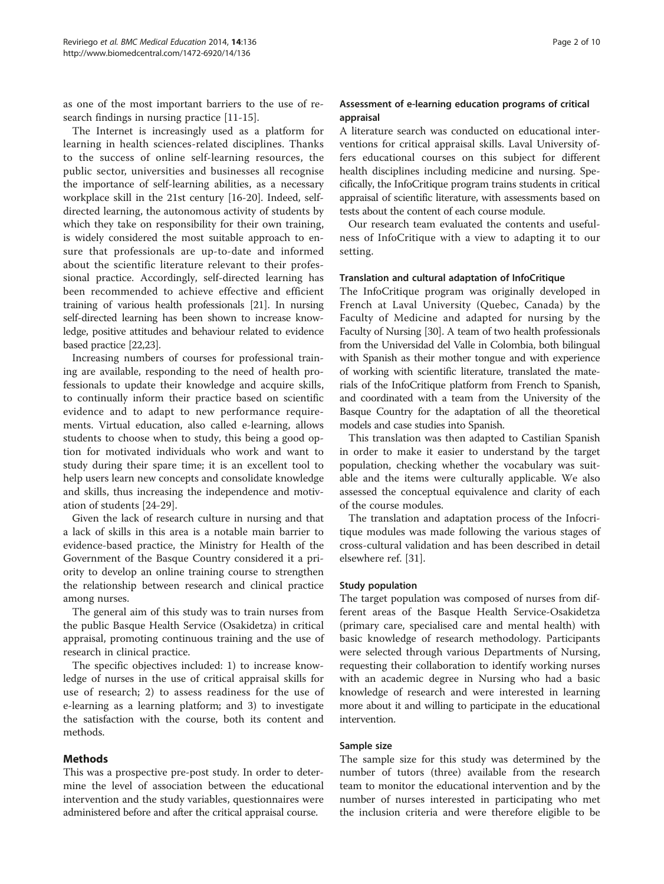as one of the most important barriers to the use of research findings in nursing practice [\[11-15](#page-8-0)].

The Internet is increasingly used as a platform for learning in health sciences-related disciplines. Thanks to the success of online self-learning resources, the public sector, universities and businesses all recognise the importance of self-learning abilities, as a necessary workplace skill in the 21st century [[16-20\]](#page-8-0). Indeed, selfdirected learning, the autonomous activity of students by which they take on responsibility for their own training, is widely considered the most suitable approach to ensure that professionals are up-to-date and informed about the scientific literature relevant to their professional practice. Accordingly, self-directed learning has been recommended to achieve effective and efficient training of various health professionals [\[21\]](#page-8-0). In nursing self-directed learning has been shown to increase knowledge, positive attitudes and behaviour related to evidence based practice [\[22,23](#page-8-0)].

Increasing numbers of courses for professional training are available, responding to the need of health professionals to update their knowledge and acquire skills, to continually inform their practice based on scientific evidence and to adapt to new performance requirements. Virtual education, also called e-learning, allows students to choose when to study, this being a good option for motivated individuals who work and want to study during their spare time; it is an excellent tool to help users learn new concepts and consolidate knowledge and skills, thus increasing the independence and motivation of students [[24-29\]](#page-8-0).

Given the lack of research culture in nursing and that a lack of skills in this area is a notable main barrier to evidence-based practice, the Ministry for Health of the Government of the Basque Country considered it a priority to develop an online training course to strengthen the relationship between research and clinical practice among nurses.

The general aim of this study was to train nurses from the public Basque Health Service (Osakidetza) in critical appraisal, promoting continuous training and the use of research in clinical practice.

The specific objectives included: 1) to increase knowledge of nurses in the use of critical appraisal skills for use of research; 2) to assess readiness for the use of e-learning as a learning platform; and 3) to investigate the satisfaction with the course, both its content and methods.

# Methods

This was a prospective pre-post study. In order to determine the level of association between the educational intervention and the study variables, questionnaires were administered before and after the critical appraisal course.

# Assessment of e-learning education programs of critical appraisal

A literature search was conducted on educational interventions for critical appraisal skills. Laval University offers educational courses on this subject for different health disciplines including medicine and nursing. Specifically, the InfoCritique program trains students in critical appraisal of scientific literature, with assessments based on tests about the content of each course module.

Our research team evaluated the contents and usefulness of InfoCritique with a view to adapting it to our setting.

#### Translation and cultural adaptation of InfoCritique

The InfoCritique program was originally developed in French at Laval University (Quebec, Canada) by the Faculty of Medicine and adapted for nursing by the Faculty of Nursing [[30](#page-8-0)]. A team of two health professionals from the Universidad del Valle in Colombia, both bilingual with Spanish as their mother tongue and with experience of working with scientific literature, translated the materials of the InfoCritique platform from French to Spanish, and coordinated with a team from the University of the Basque Country for the adaptation of all the theoretical models and case studies into Spanish.

This translation was then adapted to Castilian Spanish in order to make it easier to understand by the target population, checking whether the vocabulary was suitable and the items were culturally applicable. We also assessed the conceptual equivalence and clarity of each of the course modules.

The translation and adaptation process of the Infocritique modules was made following the various stages of cross-cultural validation and has been described in detail elsewhere ref. [[31](#page-8-0)].

#### Study population

The target population was composed of nurses from different areas of the Basque Health Service-Osakidetza (primary care, specialised care and mental health) with basic knowledge of research methodology. Participants were selected through various Departments of Nursing, requesting their collaboration to identify working nurses with an academic degree in Nursing who had a basic knowledge of research and were interested in learning more about it and willing to participate in the educational intervention.

#### Sample size

The sample size for this study was determined by the number of tutors (three) available from the research team to monitor the educational intervention and by the number of nurses interested in participating who met the inclusion criteria and were therefore eligible to be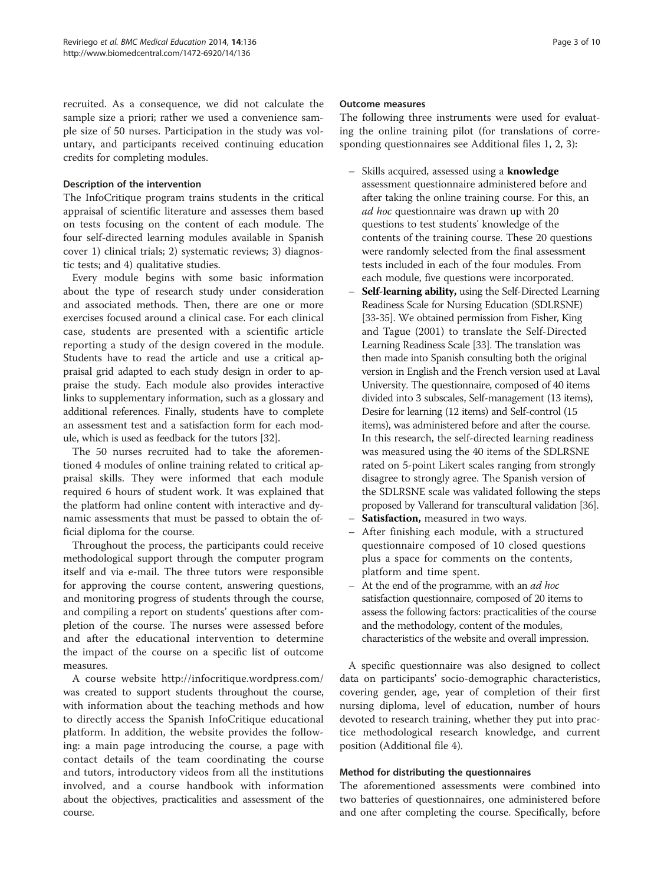recruited. As a consequence, we did not calculate the sample size a priori; rather we used a convenience sample size of 50 nurses. Participation in the study was voluntary, and participants received continuing education credits for completing modules.

# Description of the intervention

The InfoCritique program trains students in the critical appraisal of scientific literature and assesses them based on tests focusing on the content of each module. The four self-directed learning modules available in Spanish cover 1) clinical trials; 2) systematic reviews; 3) diagnostic tests; and 4) qualitative studies.

Every module begins with some basic information about the type of research study under consideration and associated methods. Then, there are one or more exercises focused around a clinical case. For each clinical case, students are presented with a scientific article reporting a study of the design covered in the module. Students have to read the article and use a critical appraisal grid adapted to each study design in order to appraise the study. Each module also provides interactive links to supplementary information, such as a glossary and additional references. Finally, students have to complete an assessment test and a satisfaction form for each module, which is used as feedback for the tutors [[32](#page-9-0)].

The 50 nurses recruited had to take the aforementioned 4 modules of online training related to critical appraisal skills. They were informed that each module required 6 hours of student work. It was explained that the platform had online content with interactive and dynamic assessments that must be passed to obtain the official diploma for the course.

Throughout the process, the participants could receive methodological support through the computer program itself and via e-mail. The three tutors were responsible for approving the course content, answering questions, and monitoring progress of students through the course, and compiling a report on students' questions after completion of the course. The nurses were assessed before and after the educational intervention to determine the impact of the course on a specific list of outcome measures.

A course website<http://infocritique.wordpress.com/> was created to support students throughout the course, with information about the teaching methods and how to directly access the Spanish InfoCritique educational platform. In addition, the website provides the following: a main page introducing the course, a page with contact details of the team coordinating the course and tutors, introductory videos from all the institutions involved, and a course handbook with information about the objectives, practicalities and assessment of the course.

# Outcome measures

The following three instruments were used for evaluating the online training pilot (for translations of corresponding questionnaires see Additional files [1, 2, 3\)](#page-7-0):

- Skills acquired, assessed using a knowledge assessment questionnaire administered before and after taking the online training course. For this, an ad hoc questionnaire was drawn up with 20 questions to test students' knowledge of the contents of the training course. These 20 questions were randomly selected from the final assessment tests included in each of the four modules. From each module, five questions were incorporated.
- Self-learning ability, using the Self-Directed Learning Readiness Scale for Nursing Education (SDLRSNE) [[33-35\]](#page-9-0). We obtained permission from Fisher, King and Tague (2001) to translate the Self-Directed Learning Readiness Scale [\[33](#page-9-0)]. The translation was then made into Spanish consulting both the original version in English and the French version used at Laval University. The questionnaire, composed of 40 items divided into 3 subscales, Self-management (13 items), Desire for learning (12 items) and Self-control (15 items), was administered before and after the course. In this research, the self-directed learning readiness was measured using the 40 items of the SDLRSNE rated on 5-point Likert scales ranging from strongly disagree to strongly agree. The Spanish version of the SDLRSNE scale was validated following the steps proposed by Vallerand for transcultural validation [\[36](#page-9-0)].
- Satisfaction, measured in two ways.
- After finishing each module, with a structured questionnaire composed of 10 closed questions plus a space for comments on the contents, platform and time spent.
- At the end of the programme, with an *ad hoc* satisfaction questionnaire, composed of 20 items to assess the following factors: practicalities of the course and the methodology, content of the modules, characteristics of the website and overall impression.

A specific questionnaire was also designed to collect data on participants' socio-demographic characteristics, covering gender, age, year of completion of their first nursing diploma, level of education, number of hours devoted to research training, whether they put into practice methodological research knowledge, and current position (Additional file [4](#page-7-0)).

#### Method for distributing the questionnaires

The aforementioned assessments were combined into two batteries of questionnaires, one administered before and one after completing the course. Specifically, before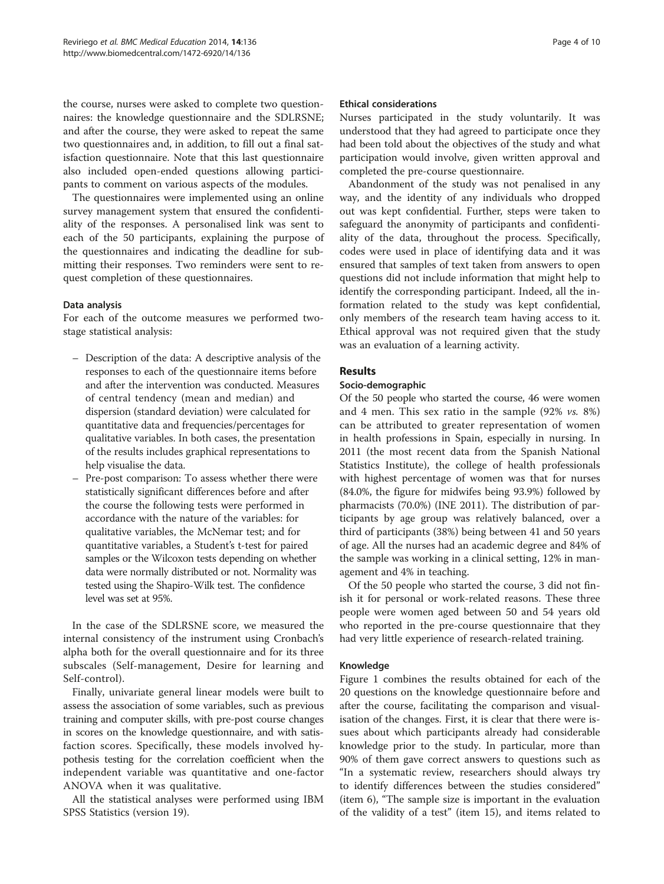the course, nurses were asked to complete two questionnaires: the knowledge questionnaire and the SDLRSNE; and after the course, they were asked to repeat the same two questionnaires and, in addition, to fill out a final satisfaction questionnaire. Note that this last questionnaire also included open-ended questions allowing participants to comment on various aspects of the modules.

The questionnaires were implemented using an online survey management system that ensured the confidentiality of the responses. A personalised link was sent to each of the 50 participants, explaining the purpose of the questionnaires and indicating the deadline for submitting their responses. Two reminders were sent to request completion of these questionnaires.

# Data analysis

For each of the outcome measures we performed twostage statistical analysis:

- Description of the data: A descriptive analysis of the responses to each of the questionnaire items before and after the intervention was conducted. Measures of central tendency (mean and median) and dispersion (standard deviation) were calculated for quantitative data and frequencies/percentages for qualitative variables. In both cases, the presentation of the results includes graphical representations to help visualise the data.
- Pre-post comparison: To assess whether there were statistically significant differences before and after the course the following tests were performed in accordance with the nature of the variables: for qualitative variables, the McNemar test; and for quantitative variables, a Student's t-test for paired samples or the Wilcoxon tests depending on whether data were normally distributed or not. Normality was tested using the Shapiro-Wilk test. The confidence level was set at 95%.

In the case of the SDLRSNE score, we measured the internal consistency of the instrument using Cronbach's alpha both for the overall questionnaire and for its three subscales (Self-management, Desire for learning and Self-control).

Finally, univariate general linear models were built to assess the association of some variables, such as previous training and computer skills, with pre-post course changes in scores on the knowledge questionnaire, and with satisfaction scores. Specifically, these models involved hypothesis testing for the correlation coefficient when the independent variable was quantitative and one-factor ANOVA when it was qualitative.

All the statistical analyses were performed using IBM SPSS Statistics (version 19).

#### Ethical considerations

Nurses participated in the study voluntarily. It was understood that they had agreed to participate once they had been told about the objectives of the study and what participation would involve, given written approval and completed the pre-course questionnaire.

Abandonment of the study was not penalised in any way, and the identity of any individuals who dropped out was kept confidential. Further, steps were taken to safeguard the anonymity of participants and confidentiality of the data, throughout the process. Specifically, codes were used in place of identifying data and it was ensured that samples of text taken from answers to open questions did not include information that might help to identify the corresponding participant. Indeed, all the information related to the study was kept confidential, only members of the research team having access to it. Ethical approval was not required given that the study was an evaluation of a learning activity.

# Results

# Socio-demographic

Of the 50 people who started the course, 46 were women and 4 men. This sex ratio in the sample (92% vs. 8%) can be attributed to greater representation of women in health professions in Spain, especially in nursing. In 2011 (the most recent data from the Spanish National Statistics Institute), the college of health professionals with highest percentage of women was that for nurses (84.0%, the figure for midwifes being 93.9%) followed by pharmacists (70.0%) (INE 2011). The distribution of participants by age group was relatively balanced, over a third of participants (38%) being between 41 and 50 years of age. All the nurses had an academic degree and 84% of the sample was working in a clinical setting, 12% in management and 4% in teaching.

Of the 50 people who started the course, 3 did not finish it for personal or work-related reasons. These three people were women aged between 50 and 54 years old who reported in the pre-course questionnaire that they had very little experience of research-related training.

#### Knowledge

Figure [1](#page-4-0) combines the results obtained for each of the 20 questions on the knowledge questionnaire before and after the course, facilitating the comparison and visualisation of the changes. First, it is clear that there were issues about which participants already had considerable knowledge prior to the study. In particular, more than 90% of them gave correct answers to questions such as "In a systematic review, researchers should always try to identify differences between the studies considered" (item 6), "The sample size is important in the evaluation of the validity of a test" (item 15), and items related to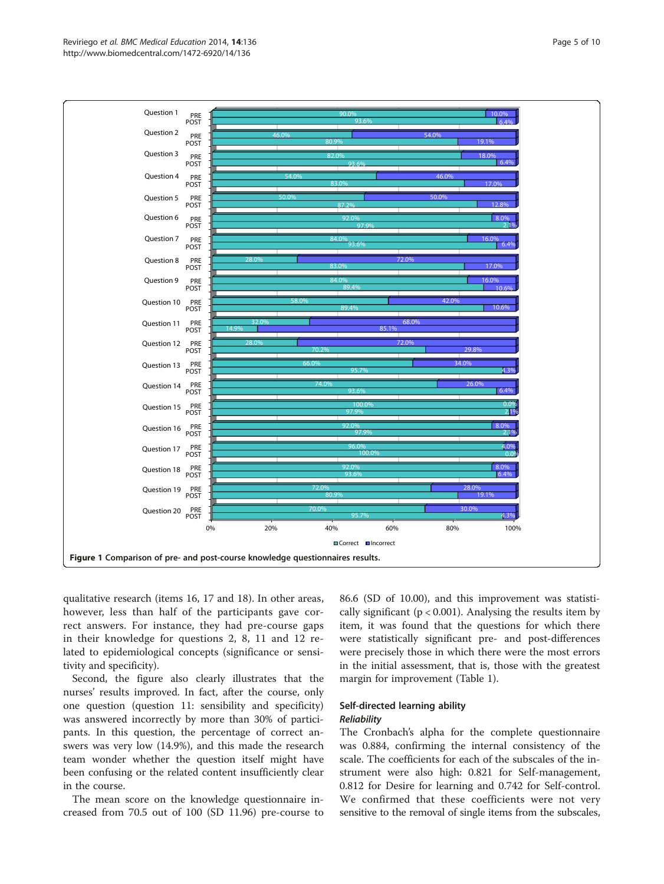<span id="page-4-0"></span>

qualitative research (items 16, 17 and 18). In other areas, however, less than half of the participants gave correct answers. For instance, they had pre-course gaps in their knowledge for questions 2, 8, 11 and 12 related to epidemiological concepts (significance or sensitivity and specificity).

Second, the figure also clearly illustrates that the nurses' results improved. In fact, after the course, only one question (question 11: sensibility and specificity) was answered incorrectly by more than 30% of participants. In this question, the percentage of correct answers was very low (14.9%), and this made the research team wonder whether the question itself might have been confusing or the related content insufficiently clear in the course.

The mean score on the knowledge questionnaire increased from 70.5 out of 100 (SD 11.96) pre-course to 86.6 (SD of 10.00), and this improvement was statistically significant ( $p < 0.001$ ). Analysing the results item by item, it was found that the questions for which there were statistically significant pre- and post-differences were precisely those in which there were the most errors in the initial assessment, that is, those with the greatest margin for improvement (Table [1](#page-5-0)).

# Self-directed learning ability **Reliability**

The Cronbach's alpha for the complete questionnaire was 0.884, confirming the internal consistency of the scale. The coefficients for each of the subscales of the instrument were also high: 0.821 for Self-management, 0.812 for Desire for learning and 0.742 for Self-control. We confirmed that these coefficients were not very sensitive to the removal of single items from the subscales,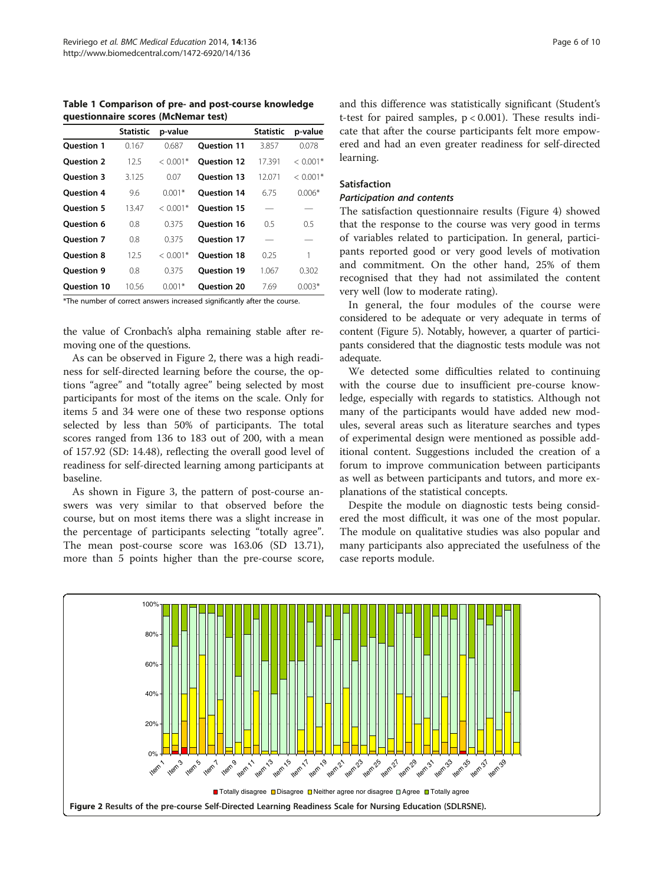<span id="page-5-0"></span>Table 1 Comparison of pre- and post-course knowledge questionnaire scores (McNemar test)

|                    | Statistic | p-value    |                    | <b>Statistic</b> | p-value    |
|--------------------|-----------|------------|--------------------|------------------|------------|
| <b>Ouestion 1</b>  | 0.167     | 0.687      | <b>Ouestion 11</b> | 3.857            | 0.078      |
| <b>Ouestion 2</b>  | 125       | $< 0.001*$ | <b>Ouestion 12</b> | 17.391           | $< 0.001*$ |
| <b>Ouestion 3</b>  | 3.125     | 0.07       | <b>Ouestion 13</b> | 12.071           | $< 0.001*$ |
| <b>Ouestion 4</b>  | 9.6       | $0.001*$   | <b>Ouestion 14</b> | 6.75             | $0.006*$   |
| Ouestion 5         | 13.47     | $< 0.001*$ | <b>Ouestion 15</b> |                  |            |
| <b>Ouestion 6</b>  | 0.8       | 0.375      | <b>Ouestion 16</b> | 0.5              | 0.5        |
| <b>Ouestion 7</b>  | 08        | 0375       | <b>Ouestion 17</b> |                  |            |
| <b>Ouestion 8</b>  | 12.5      | $< 0.001*$ | <b>Ouestion 18</b> | 0.25             | 1          |
| <b>Ouestion 9</b>  | 0.8       | 0.375      | <b>Ouestion 19</b> | 1.067            | 0.302      |
| <b>Ouestion 10</b> | 10.56     | $0.001*$   | <b>Ouestion 20</b> | 7.69             | $0.003*$   |

\*The number of correct answers increased significantly after the course.

the value of Cronbach's alpha remaining stable after removing one of the questions.

As can be observed in Figure 2, there was a high readiness for self-directed learning before the course, the options "agree" and "totally agree" being selected by most participants for most of the items on the scale. Only for items 5 and 34 were one of these two response options selected by less than 50% of participants. The total scores ranged from 136 to 183 out of 200, with a mean of 157.92 (SD: 14.48), reflecting the overall good level of readiness for self-directed learning among participants at baseline.

As shown in Figure [3,](#page-6-0) the pattern of post-course answers was very similar to that observed before the course, but on most items there was a slight increase in the percentage of participants selecting "totally agree". The mean post-course score was 163.06 (SD 13.71), more than 5 points higher than the pre-course score, and this difference was statistically significant (Student's t-test for paired samples, p < 0.001). These results indicate that after the course participants felt more empowered and had an even greater readiness for self-directed learning.

#### Satisfaction

#### Participation and contents

The satisfaction questionnaire results (Figure [4](#page-6-0)) showed that the response to the course was very good in terms of variables related to participation. In general, participants reported good or very good levels of motivation and commitment. On the other hand, 25% of them recognised that they had not assimilated the content very well (low to moderate rating).

In general, the four modules of the course were considered to be adequate or very adequate in terms of content (Figure [5\)](#page-7-0). Notably, however, a quarter of participants considered that the diagnostic tests module was not adequate.

We detected some difficulties related to continuing with the course due to insufficient pre-course knowledge, especially with regards to statistics. Although not many of the participants would have added new modules, several areas such as literature searches and types of experimental design were mentioned as possible additional content. Suggestions included the creation of a forum to improve communication between participants as well as between participants and tutors, and more explanations of the statistical concepts.

Despite the module on diagnostic tests being considered the most difficult, it was one of the most popular. The module on qualitative studies was also popular and many participants also appreciated the usefulness of the case reports module.

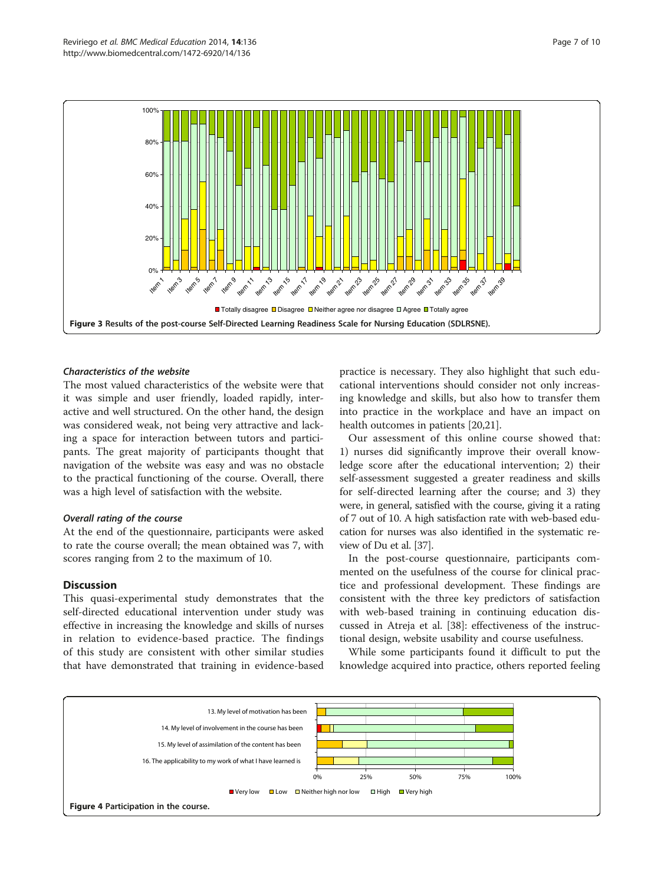<span id="page-6-0"></span>

# Characteristics of the website

The most valued characteristics of the website were that it was simple and user friendly, loaded rapidly, interactive and well structured. On the other hand, the design was considered weak, not being very attractive and lacking a space for interaction between tutors and participants. The great majority of participants thought that navigation of the website was easy and was no obstacle to the practical functioning of the course. Overall, there was a high level of satisfaction with the website.

#### Overall rating of the course

At the end of the questionnaire, participants were asked to rate the course overall; the mean obtained was 7, with scores ranging from 2 to the maximum of 10.

# **Discussion**

This quasi-experimental study demonstrates that the self-directed educational intervention under study was effective in increasing the knowledge and skills of nurses in relation to evidence-based practice. The findings of this study are consistent with other similar studies that have demonstrated that training in evidence-based

practice is necessary. They also highlight that such educational interventions should consider not only increasing knowledge and skills, but also how to transfer them into practice in the workplace and have an impact on health outcomes in patients [\[20,21\]](#page-8-0).

Our assessment of this online course showed that: 1) nurses did significantly improve their overall knowledge score after the educational intervention; 2) their self-assessment suggested a greater readiness and skills for self-directed learning after the course; and 3) they were, in general, satisfied with the course, giving it a rating of 7 out of 10. A high satisfaction rate with web-based education for nurses was also identified in the systematic review of Du et al. [\[37\]](#page-9-0).

In the post-course questionnaire, participants commented on the usefulness of the course for clinical practice and professional development. These findings are consistent with the three key predictors of satisfaction with web-based training in continuing education discussed in Atreja et al. [\[38\]](#page-9-0): effectiveness of the instructional design, website usability and course usefulness.

While some participants found it difficult to put the knowledge acquired into practice, others reported feeling

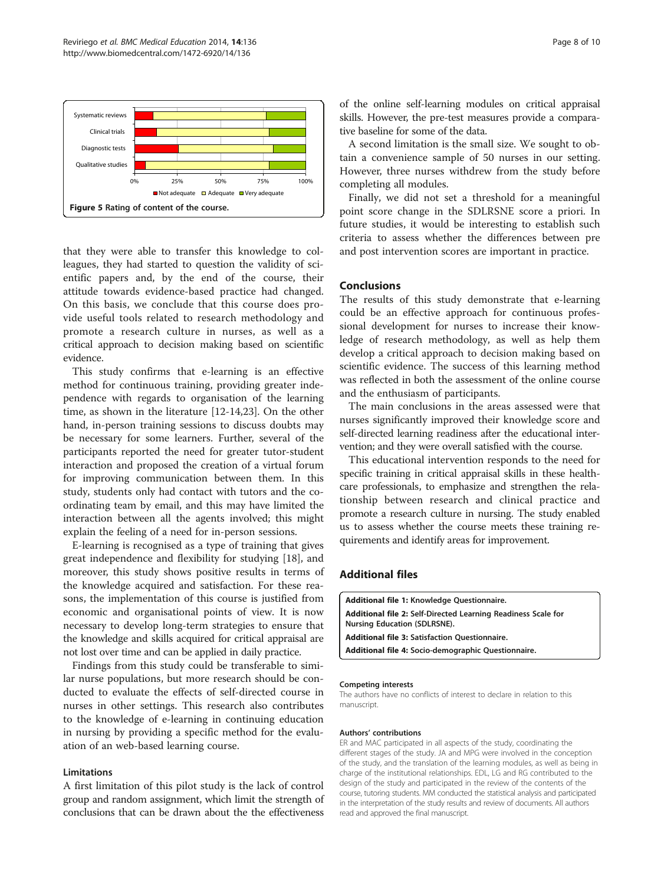<span id="page-7-0"></span>

that they were able to transfer this knowledge to colleagues, they had started to question the validity of scientific papers and, by the end of the course, their attitude towards evidence-based practice had changed. On this basis, we conclude that this course does provide useful tools related to research methodology and promote a research culture in nurses, as well as a critical approach to decision making based on scientific evidence.

This study confirms that e-learning is an effective method for continuous training, providing greater independence with regards to organisation of the learning time, as shown in the literature [[12-14,23\]](#page-8-0). On the other hand, in-person training sessions to discuss doubts may be necessary for some learners. Further, several of the participants reported the need for greater tutor-student interaction and proposed the creation of a virtual forum for improving communication between them. In this study, students only had contact with tutors and the coordinating team by email, and this may have limited the interaction between all the agents involved; this might explain the feeling of a need for in-person sessions.

E-learning is recognised as a type of training that gives great independence and flexibility for studying [[18\]](#page-8-0), and moreover, this study shows positive results in terms of the knowledge acquired and satisfaction. For these reasons, the implementation of this course is justified from economic and organisational points of view. It is now necessary to develop long-term strategies to ensure that the knowledge and skills acquired for critical appraisal are not lost over time and can be applied in daily practice.

Findings from this study could be transferable to similar nurse populations, but more research should be conducted to evaluate the effects of self-directed course in nurses in other settings. This research also contributes to the knowledge of e-learning in continuing education in nursing by providing a specific method for the evaluation of an web-based learning course.

# Limitations

A first limitation of this pilot study is the lack of control group and random assignment, which limit the strength of conclusions that can be drawn about the the effectiveness

of the online self-learning modules on critical appraisal skills. However, the pre-test measures provide a comparative baseline for some of the data.

A second limitation is the small size. We sought to obtain a convenience sample of 50 nurses in our setting. However, three nurses withdrew from the study before completing all modules.

Finally, we did not set a threshold for a meaningful point score change in the SDLRSNE score a priori. In future studies, it would be interesting to establish such criteria to assess whether the differences between pre and post intervention scores are important in practice.

#### Conclusions

The results of this study demonstrate that e-learning could be an effective approach for continuous professional development for nurses to increase their knowledge of research methodology, as well as help them develop a critical approach to decision making based on scientific evidence. The success of this learning method was reflected in both the assessment of the online course and the enthusiasm of participants.

The main conclusions in the areas assessed were that nurses significantly improved their knowledge score and self-directed learning readiness after the educational intervention; and they were overall satisfied with the course.

This educational intervention responds to the need for specific training in critical appraisal skills in these healthcare professionals, to emphasize and strengthen the relationship between research and clinical practice and promote a research culture in nursing. The study enabled us to assess whether the course meets these training requirements and identify areas for improvement.

#### Additional files

[Additional file 1:](http://www.biomedcentral.com/content/supplementary/1472-6920-14-136-S1.doc) Knowledge Questionnaire. [Additional file 2:](http://www.biomedcentral.com/content/supplementary/1472-6920-14-136-S2.doc) Self-Directed Learning Readiness Scale for Nursing Education (SDLRSNE). [Additional file 3:](http://www.biomedcentral.com/content/supplementary/1472-6920-14-136-S3.doc) Satisfaction Questionnaire.

[Additional file 4:](http://www.biomedcentral.com/content/supplementary/1472-6920-14-136-S4.doc) Socio-demographic Questionnaire.

#### Competing interests

The authors have no conflicts of interest to declare in relation to this manuscript.

#### Authors' contributions

ER and MAC participated in all aspects of the study, coordinating the different stages of the study. JA and MPG were involved in the conception of the study, and the translation of the learning modules, as well as being in charge of the institutional relationships. EDL, LG and RG contributed to the design of the study and participated in the review of the contents of the course, tutoring students. MM conducted the statistical analysis and participated in the interpretation of the study results and review of documents. All authors read and approved the final manuscript.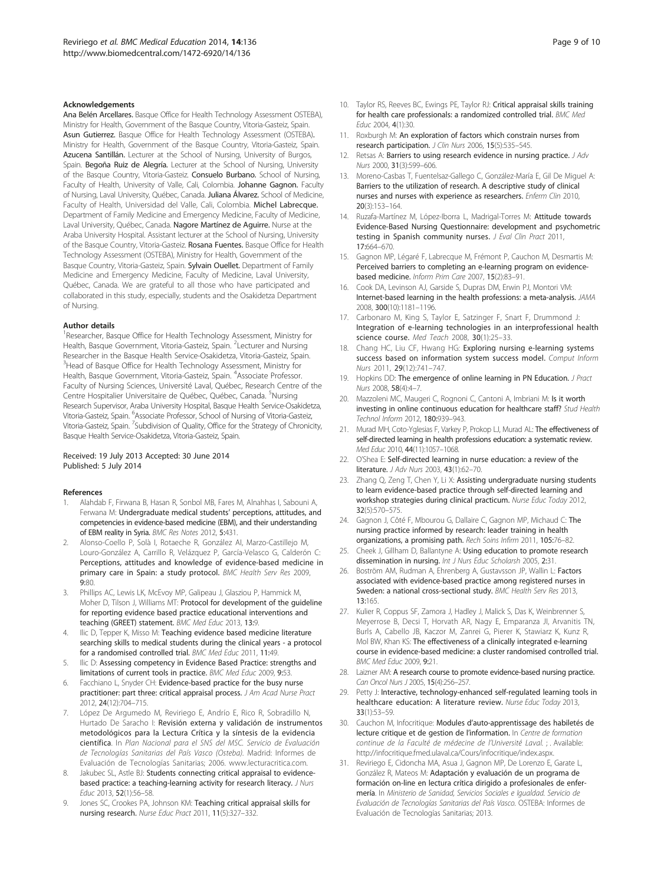#### <span id="page-8-0"></span>Acknowledgements

Ana Belén Arcellares. Basque Office for Health Technology Assessment OSTEBA), Ministry for Health, Government of the Basque Country, Vitoria-Gasteiz, Spain. Asun Gutierrez. Basque Office for Health Technology Assessment (OSTEBA). Ministry for Health, Government of the Basque Country, Vitoria-Gasteiz, Spain. Azucena Santillán. Lecturer at the School of Nursing, University of Burgos, Spain. Begoña Ruiz de Alegría. Lecturer at the School of Nursing, University of the Basque Country, Vitoria-Gasteiz. Consuelo Burbano. School of Nursing, Faculty of Health, University of Valle, Cali, Colombia. Johanne Gagnon. Faculty of Nursing, Laval University, Québec, Canada. Juliana Álvarez. School of Medicine, Faculty of Health, Universidad del Valle, Cali, Colombia. Michel Labrecque. Department of Family Medicine and Emergency Medicine, Faculty of Medicine, Laval University, Québec, Canada. Nagore Martínez de Aguirre. Nurse at the Araba University Hospital. Assistant lecturer at the School of Nursing, University of the Basque Country, Vitoria-Gasteiz. Rosana Fuentes. Basque Office for Health Technology Assessment (OSTEBA), Ministry for Health, Government of the Basque Country, Vitoria-Gasteiz, Spain. Sylvain Ouellet. Department of Family Medicine and Emergency Medicine, Faculty of Medicine, Laval University, Québec, Canada. We are grateful to all those who have participated and collaborated in this study, especially, students and the Osakidetza Department of Nursing.

#### Author details

<sup>1</sup> Researcher, Basque Office for Health Technology Assessment, Ministry for Health, Basque Government, Vitoria-Gasteiz, Spain. <sup>2</sup>Lecturer and Nursing Researcher in the Basque Health Service-Osakidetza, Vitoria-Gasteiz, Spain. <sup>3</sup>Head of Basque Office for Health Technology Assessment, Ministry for Health, Basque Government, Vitoria-Gasteiz, Spain. <sup>4</sup>Associate Professor. Faculty of Nursing Sciences, Université Laval, Québec, Research Centre of the Centre Hospitalier Universitaire de Québec, Québec, Canada. <sup>5</sup>Nursing Research Supervisor, Araba University Hospital, Basque Health Service-Osakidetza, Vitoria-Gasteiz, Spain. <sup>6</sup>Associate Professor, School of Nursing of Vitoria-Gasteiz, Vitoria-Gasteiz, Spain. <sup>7</sup>Subdivision of Quality, Office for the Strategy of Chronicity, Basque Health Service-Osakidetza, Vitoria-Gasteiz, Spain.

#### Received: 19 July 2013 Accepted: 30 June 2014 Published: 5 July 2014

#### References

- 1. Alahdab F, Firwana B, Hasan R, Sonbol MB, Fares M, Alnahhas I, Sabouni A, Ferwana M: Undergraduate medical students' perceptions, attitudes, and competencies in evidence-based medicine (EBM), and their understanding of EBM reality in Syria. BMC Res Notes 2012, 5:431.
- 2. Alonso-Coello P, Solà I, Rotaeche R, González AI, Marzo-Castillejo M, Louro-González A, Carrillo R, Velázquez P, García-Velasco G, Calderón C: Perceptions, attitudes and knowledge of evidence-based medicine in primary care in Spain: a study protocol. BMC Health Serv Res 2009, 9:80.
- 3. Phillips AC, Lewis LK, McEvoy MP, Galipeau J, Glasziou P, Hammick M, Moher D, Tilson J, Williams MT: Protocol for development of the guideline for reporting evidence based practice educational interventions and teaching (GREET) statement. BMC Med Educ 2013, 13:9.
- 4. Ilic D, Tepper K, Misso M: Teaching evidence based medicine literature searching skills to medical students during the clinical years - a protocol for a randomised controlled trial. BMC Med Educ 2011, 11:49.
- 5. Ilic D: Assessing competency in Evidence Based Practice: strengths and limitations of current tools in practice. BMC Med Educ 2009, 9:53.
- 6. Facchiano L, Snyder CH: Evidence-based practice for the busy nurse practitioner: part three: critical appraisal process. J Am Acad Nurse Pract 2012, 24(12):704–715.
- López De Argumedo M, Reviriego E, Andrío E, Rico R, Sobradillo N, Hurtado De Saracho I: Revisión externa y validación de instrumentos metodológicos para la Lectura Crítica y la síntesis de la evidencia científica. In Plan Nacional para el SNS del MSC. Servicio de Evaluación de Tecnologías Sanitarias del País Vasco (Osteba). Madrid: Informes de Evaluación de Tecnologías Sanitarias; 2006. [www.lecturacritica.com.](http://www.lecturacritica.com)
- Jakubec SL, Astle BJ: Students connecting critical appraisal to evidencebased practice: a teaching-learning activity for research literacy. J Nurs Educ 2013, 52(1):56–58.
- 9. Jones SC, Crookes PA, Johnson KM: Teaching critical appraisal skills for nursing research. Nurse Educ Pract 2011, 11(5):327–332.
- 10. Taylor RS, Reeves BC, Ewings PE, Taylor RJ: Critical appraisal skills training for health care professionals: a randomized controlled trial. BMC Med Educ 2004, 4(1):30.
- 11. Roxburgh M: An exploration of factors which constrain nurses from research participation. J Clin Nurs 2006, 15(5):535–545.
- 12. Retsas A: Barriers to using research evidence in nursing practice. J Adv Nurs 2000, 31(3):599–606.
- 13. Moreno-Casbas T, Fuentelsaz-Gallego C, González-María E, Gil De Miguel A: Barriers to the utilization of research. A descriptive study of clinical nurses and nurses with experience as researchers. Enferm Clin 2010, 20(3):153–164.
- 14. Ruzafa-Martínez M, López-Iborra L, Madrigal-Torres M: Attitude towards Evidence-Based Nursing Questionnaire: development and psychometric testing in Spanish community nurses. J Eval Clin Pract 2011, 17:664–670.
- 15. Gagnon MP, Légaré F, Labrecque M, Frémont P, Cauchon M, Desmartis M: Perceived barriers to completing an e-learning program on evidencebased medicine. Inform Prim Care 2007, 15(2):83–91.
- 16. Cook DA, Levinson AJ, Garside S, Dupras DM, Erwin PJ, Montori VM: Internet-based learning in the health professions: a meta-analysis. JAMA 2008, 300(10):1181–1196.
- 17. Carbonaro M, King S, Taylor E, Satzinger F, Snart F, Drummond J: Integration of e-learning technologies in an interprofessional health science course. Med Teach 2008, 30(1):25–33.
- 18. Chang HC, Liu CF, Hwang HG: Exploring nursing e-learning systems success based on information system success model. Comput Inform Nurs 2011, 29(12):741–747.
- 19. Hopkins DD: The emergence of online learning in PN Education. J Pract Nurs 2008, 58(4):4–7.
- 20. Mazzoleni MC, Maugeri C, Rognoni C, Cantoni A, Imbriani M: Is it worth investing in online continuous education for healthcare staff? Stud Health Technol Inform 2012, 180:939–943.
- 21. Murad MH, Coto-Yglesias F, Varkey P, Prokop LJ, Murad AL: The effectiveness of self-directed learning in health professions education: a systematic review. Med Educ 2010, 44(11):1057–1068.
- 22. O'Shea E: Self-directed learning in nurse education: a review of the literature. J Adv Nurs 2003, 43(1):62–70.
- 23. Zhang Q, Zeng T, Chen Y, Li X: Assisting undergraduate nursing students to learn evidence-based practice through self-directed learning and workshop strategies during clinical practicum. Nurse Educ Today 2012, 32(5):570–575.
- 24. Gagnon J, Côté F, Mbourou G, Dallaire C, Gagnon MP, Michaud C: The nursing practice informed by research: leader training in health organizations, a promising path. Rech Soins Infirm 2011, 105:76–82.
- 25. Cheek J, Gillham D, Ballantyne A: Using education to promote research dissemination in nursing. Int J Nurs Educ Scholarsh 2005, 2:31.
- 26. Boström AM, Rudman A, Ehrenberg A, Gustavsson JP, Wallin L: Factors associated with evidence-based practice among registered nurses in Sweden: a national cross-sectional study. BMC Health Serv Res 2013, 13:165.
- 27. Kulier R, Coppus SF, Zamora J, Hadley J, Malick S, Das K, Weinbrenner S, Meyerrose B, Decsi T, Horvath AR, Nagy E, Emparanza JI, Arvanitis TN, Burls A, Cabello JB, Kaczor M, Zanrei G, Pierer K, Stawiarz K, Kunz R, Mol BW, Khan KS: The effectiveness of a clinically integrated e-learning course in evidence-based medicine: a cluster randomised controlled trial. BMC Med Educ 2009, 9:21.
- 28. Laizner AM: A research course to promote evidence-based nursing practice. Can Oncol Nurs J 2005, 15(4):256–257.
- 29. Petty J: Interactive, technology-enhanced self-regulated learning tools in healthcare education: A literature review. Nurse Educ Today 2013, 33(1):53–59.
- 30. Cauchon M, Infocritique: Modules d'auto-apprentissage des habiletés de lecture critique et de gestion de l'information. In Centre de formation continue de la Faculté de médecine de l'Université Laval. ; . Available: <http://infocritique.fmed.ulaval.ca/Cours/infocritique/index.aspx>.
- 31. Reviriego E, Cidoncha MA, Asua J, Gagnon MP, De Lorenzo E, Garate L, González R, Mateos M: Adaptación y evaluación de un programa de formación on-line en lectura crítica dirigido a profesionales de enfermería. In Ministerio de Sanidad, Servicios Sociales e Igualdad. Servicio de Evaluación de Tecnologías Sanitarias del País Vasco. OSTEBA: Informes de Evaluación de Tecnologías Sanitarias; 2013.